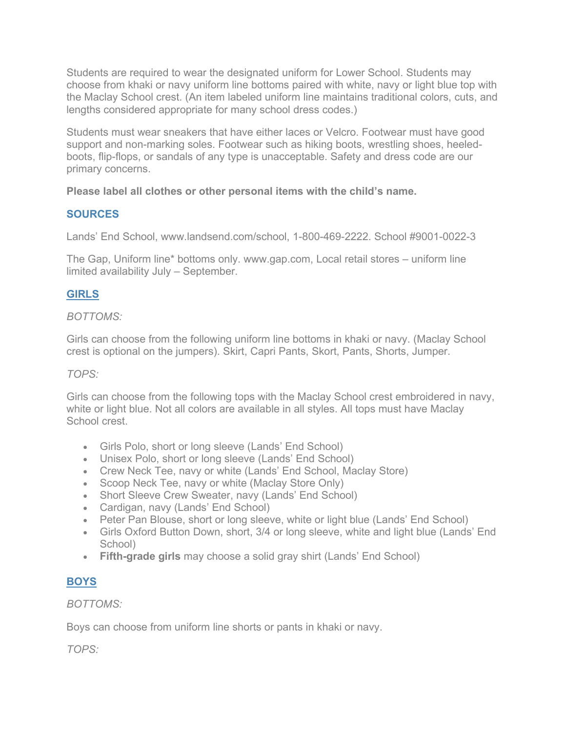Students are required to wear the designated uniform for Lower School. Students may choose from khaki or navy uniform line bottoms paired with white, navy or light blue top with the Maclay School crest. (An item labeled uniform line maintains traditional colors, cuts, and lengths considered appropriate for many school dress codes.)

Students must wear sneakers that have either laces or Velcro. Footwear must have good support and non-marking soles. Footwear such as hiking boots, wrestling shoes, heeledboots, flip-flops, or sandals of any type is unacceptable. Safety and dress code are our primary concerns.

**Please label all clothes or other personal items with the child's name.**

## **SOURCES**

Lands' End School, www.landsend.com/school, 1-800-469-2222. School #9001-0022-3

The Gap, Uniform line\* bottoms only. www.gap.com, Local retail stores – uniform line limited availability July – September.

# **GIRLS**

### *BOTTOMS:*

Girls can choose from the following uniform line bottoms in khaki or navy. (Maclay School crest is optional on the jumpers). Skirt, Capri Pants, Skort, Pants, Shorts, Jumper.

## *TOPS:*

Girls can choose from the following tops with the Maclay School crest embroidered in navy, white or light blue. Not all colors are available in all styles. All tops must have Maclay School crest.

- Girls Polo, short or long sleeve (Lands' End School)
- Unisex Polo, short or long sleeve (Lands' End School)
- Crew Neck Tee, navy or white (Lands' End School, Maclay Store)
- Scoop Neck Tee, navy or white (Maclay Store Only)
- Short Sleeve Crew Sweater, navy (Lands' End School)
- Cardigan, navy (Lands' End School)
- Peter Pan Blouse, short or long sleeve, white or light blue (Lands' End School)
- Girls Oxford Button Down, short, 3/4 or long sleeve, white and light blue (Lands' End School)
- **Fifth-grade girls** may choose a solid gray shirt (Lands' End School)

# **BOYS**

## *BOTTOMS:*

Boys can choose from uniform line shorts or pants in khaki or navy.

*TOPS:*